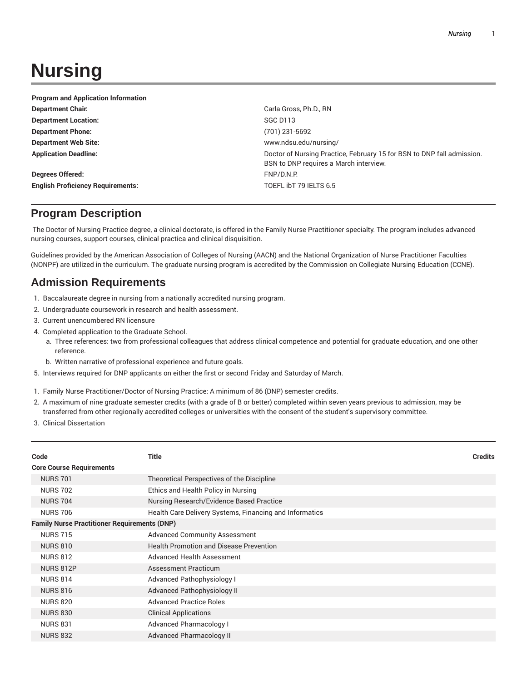## **Nursing**

| <b>Program and Application Information</b> |                                                                                                                  |
|--------------------------------------------|------------------------------------------------------------------------------------------------------------------|
| <b>Department Chair.</b>                   | Carla Gross, Ph.D., RN                                                                                           |
| <b>Department Location:</b>                | SGC D <sub>113</sub>                                                                                             |
| <b>Department Phone:</b>                   | (701) 231-5692                                                                                                   |
| <b>Department Web Site:</b>                | www.ndsu.edu/nursing/                                                                                            |
| <b>Application Deadline:</b>               | Doctor of Nursing Practice, February 15 for BSN to DNP fall admission.<br>BSN to DNP requires a March interview. |
| <b>Degrees Offered:</b>                    | FNP/D.N.P.                                                                                                       |
| <b>English Proficiency Requirements:</b>   | TOEFL IbT 79 IELTS 6.5                                                                                           |

## **Program Description**

The Doctor of Nursing Practice degree, a clinical doctorate, is offered in the Family Nurse Practitioner specialty. The program includes advanced nursing courses, support courses, clinical practica and clinical disquisition.

Guidelines provided by the American Association of Colleges of Nursing (AACN) and the National Organization of Nurse Practitioner Faculties (NONPF) are utilized in the curriculum. The graduate nursing program is accredited by the Commission on Collegiate Nursing Education (CCNE).

## **Admission Requirements**

- 1. Baccalaureate degree in nursing from a nationally accredited nursing program.
- 2. Undergraduate coursework in research and health assessment.
- 3. Current unencumbered RN licensure
- 4. Completed application to the Graduate School.
	- a. Three references: two from professional colleagues that address clinical competence and potential for graduate education, and one other reference.
	- b. Written narrative of professional experience and future goals.
- 5. Interviews required for DNP applicants on either the first or second Friday and Saturday of March.
- 1. Family Nurse Practitioner/Doctor of Nursing Practice: A minimum of 86 (DNP) semester credits.
- 2. A maximum of nine graduate semester credits (with a grade of B or better) completed within seven years previous to admission, may be transferred from other regionally accredited colleges or universities with the consent of the student's supervisory committee.
- 3. Clinical Dissertation

|                                                     | Code                            | <b>Title</b>                                            | <b>Credits</b> |
|-----------------------------------------------------|---------------------------------|---------------------------------------------------------|----------------|
|                                                     | <b>Core Course Requirements</b> |                                                         |                |
|                                                     | <b>NURS 701</b>                 | Theoretical Perspectives of the Discipline              |                |
|                                                     | <b>NURS 702</b>                 | Ethics and Health Policy in Nursing                     |                |
|                                                     | <b>NURS 704</b>                 | Nursing Research/Evidence Based Practice                |                |
|                                                     | <b>NURS 706</b>                 | Health Care Delivery Systems, Financing and Informatics |                |
| <b>Family Nurse Practitioner Requirements (DNP)</b> |                                 |                                                         |                |
|                                                     | <b>NURS 715</b>                 | <b>Advanced Community Assessment</b>                    |                |
|                                                     | <b>NURS 810</b>                 | <b>Health Promotion and Disease Prevention</b>          |                |
|                                                     | <b>NURS 812</b>                 | Advanced Health Assessment                              |                |
|                                                     | <b>NURS 812P</b>                | Assessment Practicum                                    |                |
|                                                     | <b>NURS 814</b>                 | <b>Advanced Pathophysiology I</b>                       |                |
|                                                     | <b>NURS 816</b>                 | <b>Advanced Pathophysiology II</b>                      |                |
|                                                     | <b>NURS 820</b>                 | <b>Advanced Practice Roles</b>                          |                |
|                                                     | <b>NURS 830</b>                 | <b>Clinical Applications</b>                            |                |
|                                                     | <b>NURS 831</b>                 | <b>Advanced Pharmacology I</b>                          |                |
|                                                     | <b>NURS 832</b>                 | <b>Advanced Pharmacology II</b>                         |                |
|                                                     |                                 |                                                         |                |